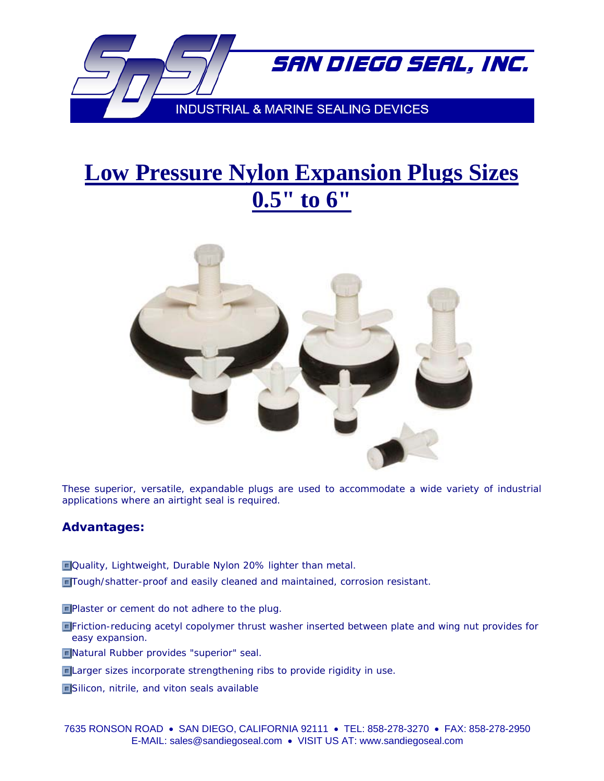

## **Low Pressure Nylon Expansion Plugs Sizes 0.5" to 6"**



These superior, versatile, expandable plugs are used to accommodate a wide variety of industrial applications where an airtight seal is required.

## **Advantages:**

- **D**Quality, Lightweight, Durable Nylon 20% lighter than metal.
- Tough/shatter-proof and easily cleaned and maintained, corrosion resistant.
- **Plaster or cement do not adhere to the plug.**
- Friction-reducing acetyl copolymer thrust washer inserted between plate and wing nut provides for easy expansion.
- Natural Rubber provides "superior" seal.
- **Elarger sizes incorporate strengthening ribs to provide rigidity in use.**
- **Silicon, nitrile, and viton seals available**